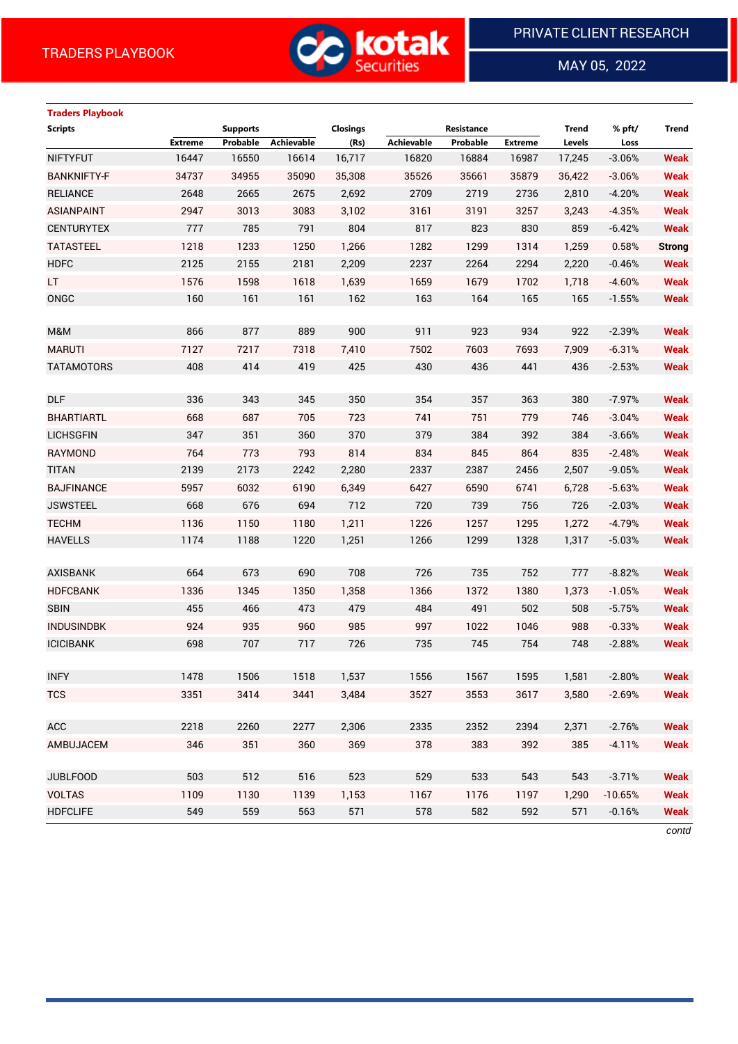

MAY 05, 2022

 $\overline{a}$ 

| <b>Traders Playbook</b> |                |                 |            |                 |                   |                   |                |              |           |               |
|-------------------------|----------------|-----------------|------------|-----------------|-------------------|-------------------|----------------|--------------|-----------|---------------|
| <b>Scripts</b>          |                | <b>Supports</b> |            | <b>Closings</b> |                   | <b>Resistance</b> |                | <b>Trend</b> | % pft/    | <b>Trend</b>  |
|                         | <b>Extreme</b> | Probable        | Achievable | (Rs)            | <b>Achievable</b> | Probable          | <b>Extreme</b> | Levels       | Loss      |               |
| <b>NIFTYFUT</b>         | 16447          | 16550           | 16614      | 16,717          | 16820             | 16884             | 16987          | 17,245       | $-3.06%$  | <b>Weak</b>   |
| <b>BANKNIFTY-F</b>      | 34737          | 34955           | 35090      | 35,308          | 35526             | 35661             | 35879          | 36,422       | $-3.06%$  | <b>Weak</b>   |
| <b>RELIANCE</b>         | 2648           | 2665            | 2675       | 2,692           | 2709              | 2719              | 2736           | 2,810        | $-4.20%$  | <b>Weak</b>   |
| <b>ASIANPAINT</b>       | 2947           | 3013            | 3083       | 3,102           | 3161              | 3191              | 3257           | 3,243        | $-4.35%$  | <b>Weak</b>   |
| <b>CENTURYTEX</b>       | 777            | 785             | 791        | 804             | 817               | 823               | 830            | 859          | $-6.42%$  | <b>Weak</b>   |
| <b>TATASTEEL</b>        | 1218           | 1233            | 1250       | 1,266           | 1282              | 1299              | 1314           | 1,259        | 0.58%     | <b>Strong</b> |
| <b>HDFC</b>             | 2125           | 2155            | 2181       | 2,209           | 2237              | 2264              | 2294           | 2,220        | $-0.46%$  | <b>Weak</b>   |
| LT.                     | 1576           | 1598            | 1618       | 1,639           | 1659              | 1679              | 1702           | 1,718        | $-4.60%$  | <b>Weak</b>   |
| ONGC                    | 160            | 161             | 161        | 162             | 163               | 164               | 165            | 165          | $-1.55%$  | <b>Weak</b>   |
| M&M                     | 866            | 877             | 889        | 900             | 911               | 923               | 934            | 922          | $-2.39%$  | <b>Weak</b>   |
| <b>MARUTI</b>           | 7127           | 7217            | 7318       | 7,410           | 7502              | 7603              | 7693           | 7,909        | $-6.31%$  | <b>Weak</b>   |
| <b>TATAMOTORS</b>       | 408            | 414             | 419        | 425             | 430               | 436               | 441            | 436          | $-2.53%$  | <b>Weak</b>   |
|                         |                |                 |            |                 |                   |                   |                |              |           |               |
| <b>DLF</b>              | 336            | 343             | 345        | 350             | 354               | 357               | 363            | 380          | $-7.97%$  | <b>Weak</b>   |
| <b>BHARTIARTL</b>       | 668            | 687             | 705        | 723             | 741               | 751               | 779            | 746          | $-3.04%$  | <b>Weak</b>   |
| <b>LICHSGFIN</b>        | 347            | 351             | 360        | 370             | 379               | 384               | 392            | 384          | $-3.66%$  | <b>Weak</b>   |
| RAYMOND                 | 764            | 773             | 793        | 814             | 834               | 845               | 864            | 835          | $-2.48%$  | <b>Weak</b>   |
| <b>TITAN</b>            | 2139           | 2173            | 2242       | 2,280           | 2337              | 2387              | 2456           | 2,507        | $-9.05%$  | <b>Weak</b>   |
| <b>BAJFINANCE</b>       | 5957           | 6032            | 6190       | 6,349           | 6427              | 6590              | 6741           | 6,728        | $-5.63%$  | <b>Weak</b>   |
| <b>JSWSTEEL</b>         | 668            | 676             | 694        | 712             | 720               | 739               | 756            | 726          | $-2.03%$  | <b>Weak</b>   |
| <b>TECHM</b>            | 1136           | 1150            | 1180       | 1,211           | 1226              | 1257              | 1295           | 1,272        | $-4.79%$  | <b>Weak</b>   |
| <b>HAVELLS</b>          | 1174           | 1188            | 1220       | 1,251           | 1266              | 1299              | 1328           | 1,317        | $-5.03%$  | <b>Weak</b>   |
|                         |                |                 |            |                 |                   |                   |                |              |           |               |
| <b>AXISBANK</b>         | 664            | 673             | 690        | 708             | 726               | 735               | 752            | 777          | $-8.82%$  | <b>Weak</b>   |
| <b>HDFCBANK</b>         | 1336           | 1345            | 1350       | 1,358           | 1366              | 1372              | 1380           | 1,373        | $-1.05%$  | <b>Weak</b>   |
| <b>SBIN</b>             | 455            | 466             | 473        | 479             | 484               | 491               | 502            | 508          | $-5.75%$  | <b>Weak</b>   |
| <b>INDUSINDBK</b>       | 924            | 935             | 960        | 985             | 997               | 1022              | 1046           | 988          | $-0.33%$  | <b>Weak</b>   |
| <b>ICICIBANK</b>        | 698            | 707             | 717        | 726             | 735               | 745               | 754            | 748          | $-2.88%$  | <b>Weak</b>   |
|                         |                |                 |            |                 |                   |                   |                |              |           |               |
| <b>INFY</b>             | 1478           | 1506            | 1518       | 1,537           | 1556              | 1567              | 1595           | 1,581        | $-2.80%$  | <b>Weak</b>   |
| <b>TCS</b>              | 3351           | 3414            | 3441       | 3,484           | 3527              | 3553              | 3617           | 3,580        | $-2.69%$  | <b>Weak</b>   |
|                         |                |                 |            |                 |                   |                   |                |              |           |               |
| <b>ACC</b>              | 2218           | 2260            | 2277       | 2,306           | 2335              | 2352              | 2394           | 2,371        | $-2.76%$  | <b>Weak</b>   |
| AMBUJACEM               | 346            | 351             | 360        | 369             | 378               | 383               | 392            | 385          | $-4.11%$  | <b>Weak</b>   |
|                         |                |                 |            |                 |                   |                   |                |              |           |               |
| <b>JUBLFOOD</b>         | 503            | 512             | 516        | 523             | 529               | 533               | 543            | 543          | $-3.71%$  | <b>Weak</b>   |
| <b>VOLTAS</b>           | 1109           | 1130            | 1139       | 1,153           | 1167              | 1176              | 1197           | 1,290        | $-10.65%$ | <b>Weak</b>   |
| <b>HDFCLIFE</b>         | 549            | 559             | 563        | 571             | 578               | 582               | 592            | 571          | $-0.16%$  | <b>Weak</b>   |

*contd*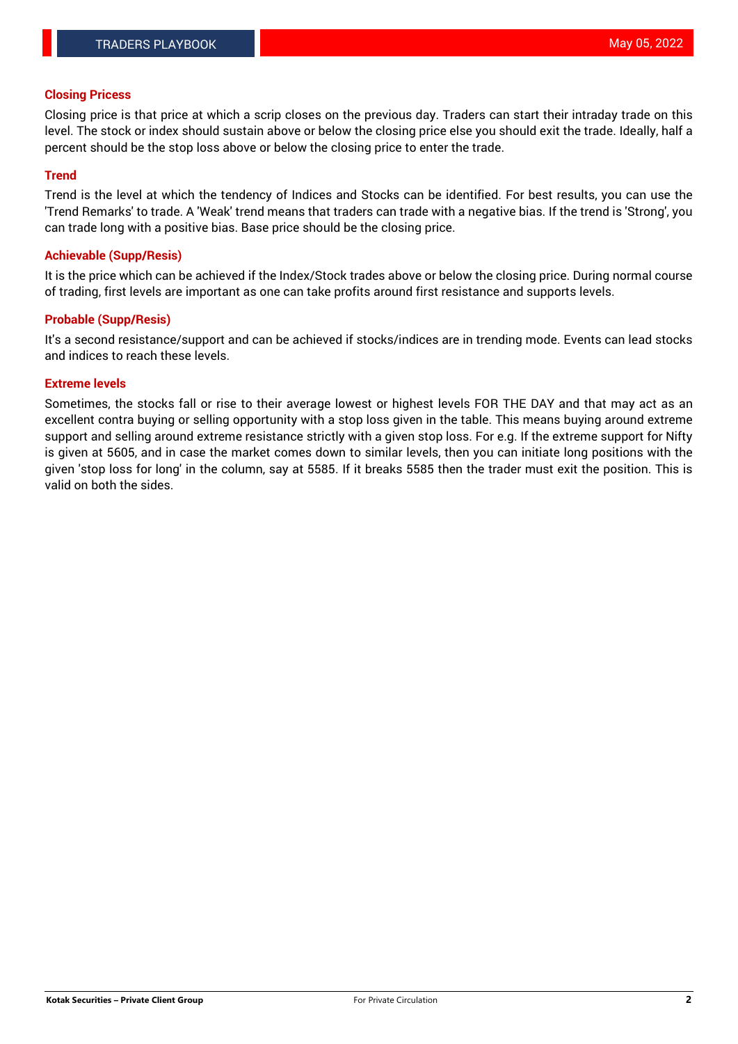## **Closing Pricess**

Closing price is that price at which a scrip closes on the previous day. Traders can start their intraday trade on this level. The stock or index should sustain above or below the closing price else you should exit the trade. Ideally, half a percent should be the stop loss above or below the closing price to enter the trade.

#### **Trend**

Trend is the level at which the tendency of Indices and Stocks can be identified. For best results, you can use the 'Trend Remarks' to trade. A 'Weak' trend means that traders can trade with a negative bias. If the trend is 'Strong', you can trade long with a positive bias. Base price should be the closing price.

#### **Achievable (Supp/Resis)**

It is the price which can be achieved if the Index/Stock trades above or below the closing price. During normal course of trading, first levels are important as one can take profits around first resistance and supports levels.

## **Probable (Supp/Resis)**

It's a second resistance/support and can be achieved if stocks/indices are in trending mode. Events can lead stocks and indices to reach these levels.

#### **Extreme levels**

Sometimes, the stocks fall or rise to their average lowest or highest levels FOR THE DAY and that may act as an excellent contra buying or selling opportunity with a stop loss given in the table. This means buying around extreme support and selling around extreme resistance strictly with a given stop loss. For e.g. If the extreme support for Nifty is given at 5605, and in case the market comes down to similar levels, then you can initiate long positions with the given 'stop loss for long' in the column, say at 5585. If it breaks 5585 then the trader must exit the position. This is valid on both the sides.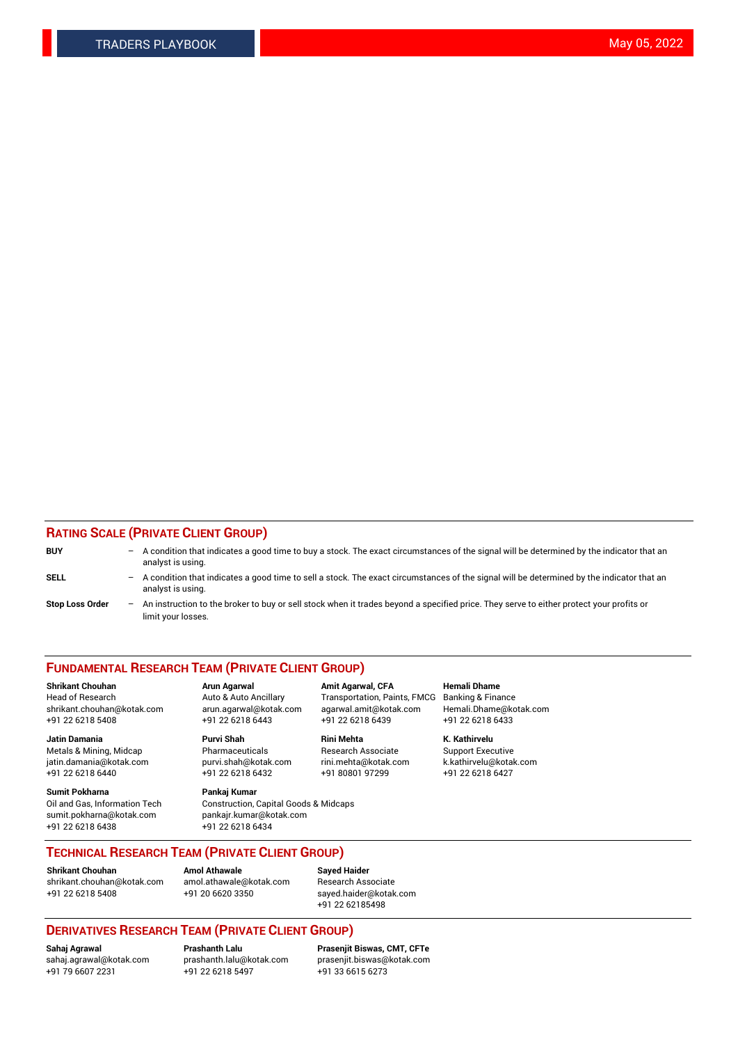## **RATING SCALE (PRIVATE CLIENT GROUP)**

| <b>BUY</b>             |     | $-$ A condition that indicates a good time to buy a stock. The exact circumstances of the signal will be determined by the indicator that an<br>analyst is using. |
|------------------------|-----|-------------------------------------------------------------------------------------------------------------------------------------------------------------------|
| <b>SELL</b>            |     | - A condition that indicates a good time to sell a stock. The exact circumstances of the signal will be determined by the indicator that an<br>analyst is using.  |
| <b>Stop Loss Order</b> | $-$ | An instruction to the broker to buy or sell stock when it trades beyond a specified price. They serve to either protect your profits or<br>limit your losses.     |

#### **FUNDAMENTAL RESEARCH TEAM (PRIVATE CLIENT GROUP)**

**Shrikant Chouhan Arun Agarwal Amit Agarwal, CFA Hemali Dhame** Head of Research Auto & Auto Ancillary Transportation, Paints, FMCG Banking & Finance shrikant.chouhan@kotak.com arun.agarwal@kotak.com agarwal.amit@kotak.com Hemali.Dhame@kotak.com +91 22 6218 5408 +91 22 6218 6443 +91 22 6218 6439 +91 22 6218 6433

**Jatin Damania Purvi Shah Rini Mehta K. Kathirvelu** Metals & Mining, Midcap **Pharmaceuticals** Research Associate Support Executive jatin.damania@kotak.com [purvi.shah@kotak.com](mailto:purvi.shah@kotak.com) rini.mehta@kotak.com [k.kathirvelu@kotak.com](mailto:k.kathirvelu@kotak.com)  $+91$  22 6218 6440  $+91$  22 6218 6432

**Sumit Pokharna Pankaj Kumar** sumit.pokharna@kotak.com pankajr.kumar@kotak.com +91 22 6218 6438 +91 22 6218 6434

Oil and Gas, Information Tech Construction, Capital Goods & Midcaps

**TECHNICAL RESEARCH TEAM (PRIVATE CLIENT GROUP)**

**Shrikant Chouhan Amol Athawale Sayed Haider** [shrikant.chouhan@kotak.com](mailto:shrikant.chouhan@kotak.com) [amol.athawale@kotak.com](mailto:amol.athawale@kotak.com) Research Associate +91 22 6218 5408 +91 20 6620 3350 [sayed.haider@kotak.com](mailto:sayed.haider@kotak.com)

+91 22 62185498

# **DERIVATIVES RESEARCH TEAM (PRIVATE CLIENT GROUP)**

 $+91$  22 6218 5497

**Sahaj Agrawal Prashanth Lalu Prasenjit Biswas, CMT, CFTe** [sahaj.agrawal@kotak.com](mailto:sahaj.agrawal@kotak.com) [prashanth.lalu@kotak.com](mailto:prashanth.lalu@kotak.com) [prasenjit.biswas@kotak.com](mailto:prasenjit.biswas@kotak.com)